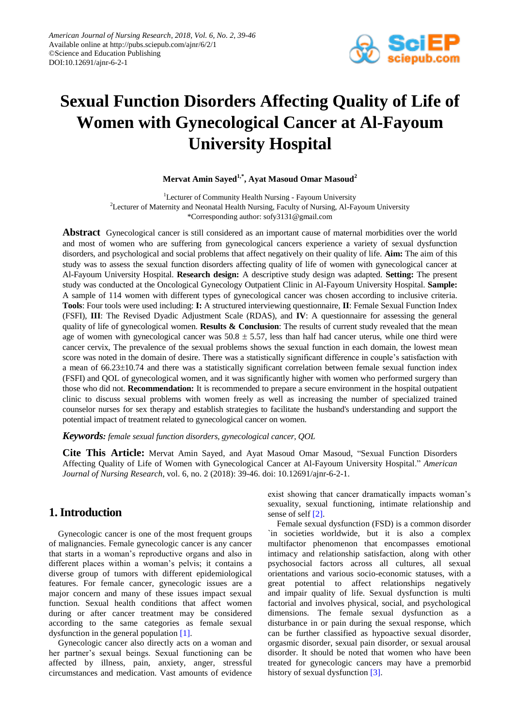

# **Sexual Function Disorders Affecting Quality of Life of Women with Gynecological Cancer at Al-Fayoum University Hospital**

## **Mervat Amin Sayed1,\* , Ayat Masoud Omar Masoud<sup>2</sup>**

<sup>1</sup>Lecturer of Community Health Nursing - Fayoum University <sup>2</sup>Lecturer of Maternity and Neonatal Health Nursing, Faculty of Nursing, Al-Fayoum University \*Corresponding author: sofy3131@gmail.com

**Abstract** Gynecological cancer is still considered as an important cause of maternal morbidities over the world and most of women who are suffering from gynecological cancers experience a variety of sexual dysfunction disorders, and psychological and social problems that affect negatively on their quality of life. **Aim:** The aim of this study was to assess the sexual function disorders affecting quality of life of women with gynecological cancer at Al-Fayoum University Hospital. **Research design:** A descriptive study design was adapted. **Setting:** The present study was conducted at the Oncological Gynecology Outpatient Clinic in Al-Fayoum University Hospital. **Sample:** A sample of 114 women with different types of gynecological cancer was chosen according to inclusive criteria. **Tools**: Four tools were used including: **I:** A structured interviewing questionnaire, **II**: Female Sexual Function Index (FSFI), **III**: The Revised Dyadic Adjustment Scale (RDAS), and **IV**: A questionnaire for assessing the general quality of life of gynecological women. **Results & Conclusion**: The results of current study revealed that the mean age of women with gynecological cancer was  $50.8 \pm 5.57$ , less than half had cancer uterus, while one third were cancer cervix, The prevalence of the sexual problems shows the sexual function in each domain, the lowest mean score was noted in the domain of desire. There was a statistically significant difference in couple's satisfaction with a mean of  $66.23 \pm 10.74$  and there was a statistically significant correlation between female sexual function index (FSFI) and QOL of gynecological women, and it was significantly higher with women who performed surgery than those who did not. **Recommendation:** It is recommended to prepare a secure environment in the hospital outpatient clinic to discuss sexual problems with women freely as well as increasing the number of specialized trained counselor nurses for sex therapy and establish strategies to facilitate the husband's understanding and support the potential impact of treatment related to gynecological cancer on women.

*Keywords: female sexual function disorders, gynecological cancer, QOL*

**Cite This Article:** Mervat Amin Sayed, and Ayat Masoud Omar Masoud, "Sexual Function Disorders Affecting Quality of Life of Women with Gynecological Cancer at Al-Fayoum University Hospital." *American Journal of Nursing Research*, vol. 6, no. 2 (2018): 39-46. doi: 10.12691/ajnr-6-2-1.

# **1. Introduction**

Gynecologic cancer is one of the most frequent groups of malignancies. Female gynecologic cancer is any cancer that starts in a woman's reproductive organs and also in different places within a woman's pelvis; it contains a diverse group of tumors with different epidemiological features. For female cancer, gynecologic issues are a major concern and many of these issues impact sexual function. Sexual health conditions that affect women during or after cancer treatment may be considered according to the same categories as female sexual dysfunction in the general population [\[1\].](#page-6-0)

Gynecologic cancer also directly acts on a woman and her partner's sexual beings. Sexual functioning can be affected by illness, pain, anxiety, anger, stressful circumstances and medication. Vast amounts of evidence exist showing that cancer dramatically impacts woman's sexuality, sexual functioning, intimate relationship and sense of self [\[2\].](#page-6-1)

Female sexual dysfunction (FSD) is a common disorder `in societies worldwide, but it is also a complex multifactor phenomenon that encompasses emotional intimacy and relationship satisfaction, along with other psychosocial factors across all cultures, all sexual orientations and various socio-economic statuses, with a great potential to affect relationships negatively and impair quality of life. Sexual dysfunction is multi factorial and involves physical, social, and psychological dimensions. The female sexual dysfunction as a disturbance in or pain during the sexual response, which can be further classified as hypoactive sexual disorder, orgasmic disorder, sexual pain disorder, or sexual arousal disorder. It should be noted that women who have been treated for gynecologic cancers may have a premorbid history of sexual dysfunction [\[3\].](#page-6-2)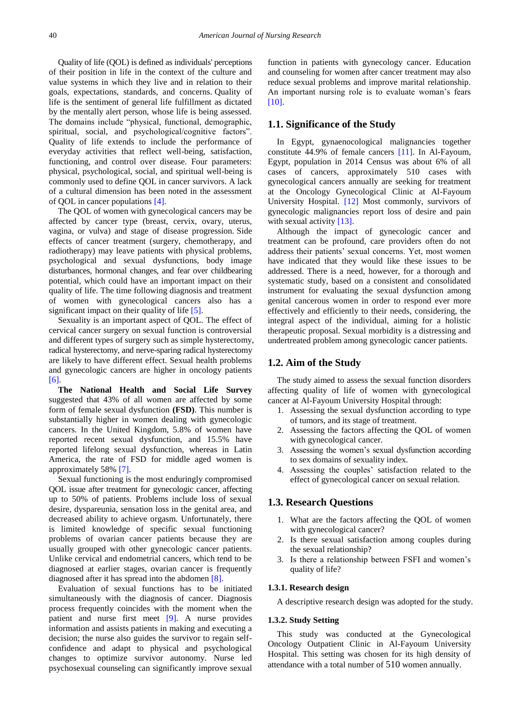Quality of life (QOL) is defined as individuals' perceptions of their position in life in the context of the culture and value systems in which they live and in relation to their goals, expectations, standards, and concerns. Quality of life is the sentiment of general life fulfillment as dictated by the mentally alert person, whose life is being assessed. The domains include "physical, functional, demographic, spiritual, social, and psychological/cognitive factors". Quality of life extends to include the performance of everyday activities that reflect well-being, satisfaction, functioning, and control over disease. Four parameters: physical, psychological, social, and spiritual well-being is commonly used to define QOL in cancer survivors. A lack of a cultural dimension has been noted in the assessment of QOL in cancer populations [\[4\].](#page-6-3)

The QOL of women with gynecological cancers may be affected by cancer type (breast, cervix, ovary, uterus, vagina, or vulva) and stage of disease progression. Side effects of cancer treatment (surgery, chemotherapy, and radiotherapy) may leave patients with physical problems, psychological and sexual dysfunctions, body image disturbances, hormonal changes, and fear over childbearing potential, which could have an important impact on their quality of life. The time following diagnosis and treatment of women with gynecological cancers also has a significant impact on their quality of life [\[5\].](#page-6-4)

Sexuality is an important aspect of QOL. The effect of cervical cancer surgery on sexual function is controversial and different types of surgery such as simple hysterectomy, radical hysterectomy, and nerve-sparing radical hysterectomy are likely to have different effect. Sexual health problems and gynecologic cancers are higher in oncology patients [\[6\].](#page-6-5)

**The National Health and Social Life Survey**  suggested that 43% of all women are affected by some form of female sexual dysfunction **(FSD)**. This number is substantially higher in women dealing with gynecologic cancers. In the United Kingdom, 5.8% of women have reported recent sexual dysfunction, and 15.5% have reported lifelong sexual dysfunction, whereas in Latin America, the rate of FSD for middle aged women is approximately 58% [\[7\].](#page-6-6) 

Sexual functioning is the most enduringly compromised QOL issue after treatment for gynecologic cancer, affecting up to 50% of patients. Problems include loss of sexual desire, dyspareunia, sensation loss in the genital area, and decreased ability to achieve orgasm. Unfortunately, there is limited knowledge of specific sexual functioning problems of ovarian cancer patients because they are usually grouped with other gynecologic cancer patients. Unlike cervical and endometrial cancers, which tend to be diagnosed at earlier stages, ovarian cancer is frequently diagnosed after it has spread into the abdomen [\[8\].](#page-6-7)

Evaluation of sexual functions has to be initiated simultaneously with the diagnosis of cancer. Diagnosis process frequently coincides with the moment when the patient and nurse first meet [\[9\].](#page-6-8) A nurse provides information and assists patients in making and executing a decision; the nurse also guides the survivor to regain selfconfidence and adapt to physical and psychological changes to optimize survivor autonomy. Nurse led psychosexual counseling can significantly improve sexual

function in patients with gynecology cancer. Education and counseling for women after cancer treatment may also reduce sexual problems and improve marital relationship. An important nursing role is to evaluate woman's fears [\[10\].](#page-6-9)

### **1.1. Significance of the Study**

In Egypt, gynaenocological malignancies together constitute 44.9% of female cancers [\[11\].](#page-6-10) In Al-Fayoum, Egypt, population in 2014 Census was about 6% of all cases of cancers, approximately 510 cases with gynecological cancers annually are seeking for treatment at the Oncology Gynecological Clinic at Al-Fayoum University Hospital. [\[12\]](#page-6-11) Most commonly, survivors of gynecologic malignancies report loss of desire and pain with sexual activity [\[13\].](#page-6-12)

Although the impact of gynecologic cancer and treatment can be profound, care providers often do not address their patients' sexual concerns. Yet, most women have indicated that they would like these issues to be addressed. There is a need, however, for a thorough and systematic study, based on a consistent and consolidated instrument for evaluating the sexual dysfunction among genital cancerous women in order to respond ever more effectively and efficiently to their needs, considering, the integral aspect of the individual, aiming for a holistic therapeutic proposal. Sexual morbidity is a distressing and undertreated problem among gynecologic cancer patients.

## **1.2. Aim of the Study**

The study aimed to assess the sexual function disorders affecting quality of life of women with gynecological cancer at Al-Fayoum University Hospital through:

- 1. Assessing the sexual dysfunction according to type of tumors, and its stage of treatment.
- 2. Assessing the factors affecting the QOL of women with gynecological cancer.
- 3. Assessing the women's sexual dysfunction according to sex domains of sexuality index.
- 4. Assessing the couples' satisfaction related to the effect of gynecological cancer on sexual relation.

#### **1.3. Research Questions**

- 1. What are the factors affecting the QOL of women with gynecological cancer?
- 2. Is there sexual satisfaction among couples during the sexual relationship?
- 3. Is there a relationship between FSFI and women's quality of life?

#### **1.3.1. Research design**

A descriptive research design was adopted for the study.

#### **1.3.2. Study Setting**

This study was conducted at the Gynecological Oncology Outpatient Clinic in Al-Fayoum University Hospital. This setting was chosen for its high density of attendance with a total number of 510 women annually.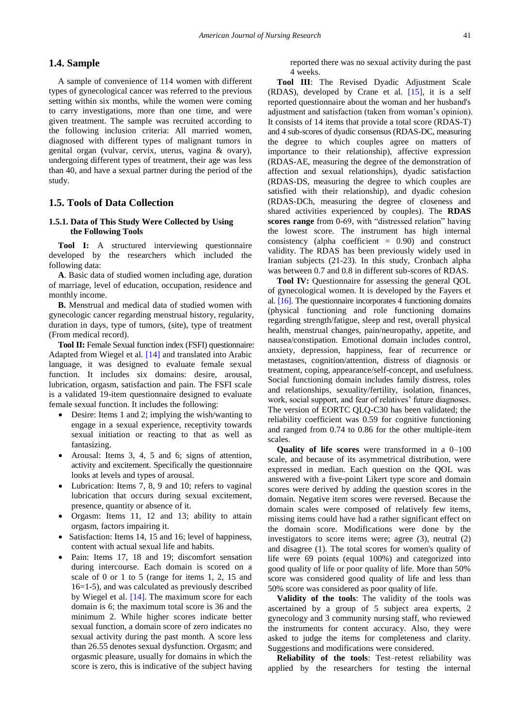#### **1.4. Sample**

A sample of convenience of 114 women with different types of gynecological cancer was referred to the previous setting within six months, while the women were coming to carry investigations, more than one time, and were given treatment. The sample was recruited according to the following inclusion criteria: All married women, diagnosed with different types of malignant tumors in genital organ (vulvar, cervix, uterus, vagina & ovary), undergoing different types of treatment, their age was less than 40, and have a sexual partner during the period of the study.

## **1.5. Tools of Data Collection**

#### **1.5.1. Data of This Study Were Collected by Using the Following Tools**

**Tool I:** A structured interviewing questionnaire developed by the researchers which included the following data:

**A**. Basic data of studied women including age, duration of marriage, level of education, occupation, residence and monthly income.

**B.** Menstrual and medical data of studied women with gynecologic cancer regarding menstrual history, regularity, duration in days, type of tumors, (site), type of treatment (From medical record).

**Tool II:** Female Sexual function index (FSFI) questionnaire: Adapted from Wiegel et al. [\[14\]](#page-6-13) and translated into Arabic language, it was designed to evaluate female sexual function. It includes six domains: desire, arousal, lubrication, orgasm, satisfaction and pain. The FSFI scale is a validated 19-item questionnaire designed to evaluate female sexual function. It includes the following:

- Desire: Items 1 and 2; implying the wish/wanting to engage in a sexual experience, receptivity towards sexual initiation or reacting to that as well as fantasizing.
- Arousal: Items 3, 4, 5 and 6; signs of attention, activity and excitement. Specifically the questionnaire looks at levels and types of arousal.
- Lubrication: Items 7, 8, 9 and 10; refers to vaginal lubrication that occurs during sexual excitement, presence, quantity or absence of it.
- Orgasm: Items 11, 12 and 13; ability to attain orgasm, factors impairing it.
- Satisfaction: Items 14, 15 and 16; level of happiness, content with actual sexual life and habits.
- Pain: Items 17, 18 and 19; discomfort sensation during intercourse. Each domain is scored on a scale of 0 or 1 to 5 (range for items 1, 2, 15 and 16=1-5), and was calculated as previously described by Wiegel et al. [\[14\].](#page-6-13) The maximum score for each domain is 6; the maximum total score is 36 and the minimum 2. While higher scores indicate better sexual function, a domain score of zero indicates no sexual activity during the past month. A score less than 26.55 denotes sexual dysfunction. Orgasm; and orgasmic pleasure, usually for domains in which the score is zero, this is indicative of the subject having

reported there was no sexual activity during the past 4 weeks.

**Tool III**: The Revised Dyadic Adjustment Scale (RDAS), developed by Crane et al. [\[15\],](#page-6-14) it is a self reported questionnaire about the woman and her husband's adjustment and satisfaction (taken from woman's opinion). It consists of 14 items that provide a total score (RDAS-T) and 4 sub-scores of dyadic consensus (RDAS-DC, measuring the degree to which couples agree on matters of importance to their relationship), affective expression (RDAS-AE, measuring the degree of the demonstration of affection and sexual relationships), dyadic satisfaction (RDAS-DS, measuring the degree to which couples are satisfied with their relationship), and dyadic cohesion (RDAS-DCh, measuring the degree of closeness and shared activities experienced by couples). The **RDAS scores range** from 0-69, with "distressed relation" having the lowest score. The instrument has high internal consistency (alpha coefficient  $= 0.90$ ) and construct validity. The RDAS has been previously widely used in Iranian subjects (21-23). In this study, Cronbach alpha was between 0.7 and 0.8 in different sub-scores of RDAS.

**Tool IV:** Questionnaire for assessing the general QOL of gynecological women. It is developed by the Fayers et al. [\[16\].](#page-6-15) The questionnaire incorporates 4 functioning domains (physical functioning and role functioning domains regarding strength/fatigue, sleep and rest, overall physical health, menstrual changes, pain/neuropathy, appetite, and nausea/constipation. Emotional domain includes control, anxiety, depression, happiness, fear of recurrence or metastases, cognition/attention, distress of diagnosis or treatment, coping, appearance/self-concept, and usefulness. Social functioning domain includes family distress, roles and relationships, sexuality/fertility, isolation, finances, work, social support, and fear of relatives' future diagnoses. The version of EORTC QLQ-C30 has been validated; the reliability coefficient was 0.59 for cognitive functioning and ranged from 0.74 to 0.86 for the other multiple-item scales.

**Quality of life scores** were transformed in a 0–100 scale, and because of its asymmetrical distribution, were expressed in median. Each question on the QOL was answered with a five-point Likert type score and domain scores were derived by adding the question scores in the domain. Negative item scores were reversed. Because the domain scales were composed of relatively few items, missing items could have had a rather significant effect on the domain score. Modifications were done by the investigators to score items were; agree (3), neutral (2) and disagree (1). The total scores for women's quality of life were 69 points (equal 100%) and categorized into good quality of life or poor quality of life. More than 50% score was considered good quality of life and less than 50% score was considered as poor quality of life.

**Validity of the tools**: The validity of the tools was ascertained by a group of 5 subject area experts, 2 gynecology and 3 community nursing staff, who reviewed the instruments for content accuracy. Also, they were asked to judge the items for completeness and clarity. Suggestions and modifications were considered.

**Reliability of the tools**: Test–retest reliability was applied by the researchers for testing the internal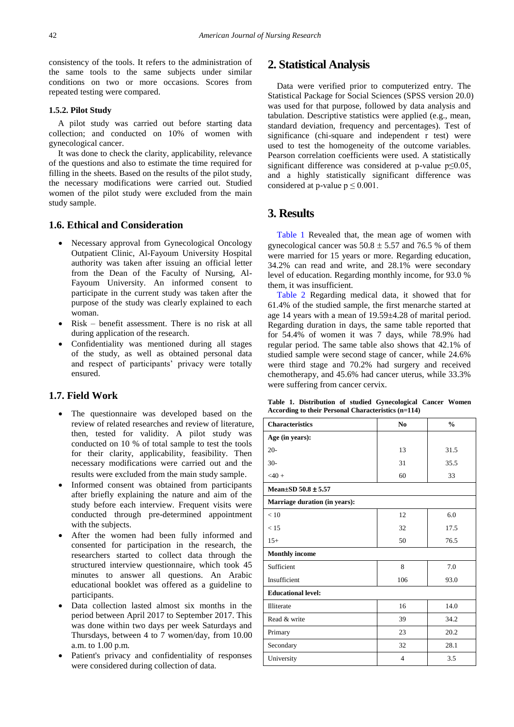consistency of the tools. It refers to the administration of the same tools to the same subjects under similar conditions on two or more occasions. Scores from repeated testing were compared.

#### **1.5.2. Pilot Study**

A pilot study was carried out before starting data collection; and conducted on 10% of women with gynecological cancer.

It was done to check the clarity, applicability, relevance of the questions and also to estimate the time required for filling in the sheets. Based on the results of the pilot study, the necessary modifications were carried out. Studied women of the pilot study were excluded from the main study sample.

#### **1.6. Ethical and Consideration**

- Necessary approval from Gynecological Oncology Outpatient Clinic, Al-Fayoum University Hospital authority was taken after issuing an official letter from the Dean of the Faculty of Nursing, Al-Fayoum University. An informed consent to participate in the current study was taken after the purpose of the study was clearly explained to each woman.
- Risk benefit assessment. There is no risk at all during application of the research.
- Confidentiality was mentioned during all stages of the study, as well as obtained personal data and respect of participants' privacy were totally ensured.

## **1.7. Field Work**

- The questionnaire was developed based on the review of related researches and review of literature, then, tested for validity. A pilot study was conducted on 10 % of total sample to test the tools for their clarity, applicability, feasibility. Then necessary modifications were carried out and the results were excluded from the main study sample.
- Informed consent was obtained from participants after briefly explaining the nature and aim of the study before each interview. Frequent visits were conducted through pre-determined appointment with the subjects.
- After the women had been fully informed and consented for participation in the research, the researchers started to collect data through the structured interview questionnaire, which took 45 minutes to answer all questions. An Arabic educational booklet was offered as a guideline to participants.
- Data collection lasted almost six months in the period between April 2017 to September 2017. This was done within two days per week Saturdays and Thursdays, between 4 to 7 women/day, from 10.00 a.m. to 1.00 p.m.
- Patient's privacy and confidentiality of responses were considered during collection of data.

# **2. Statistical Analysis**

Data were verified prior to computerized entry. The Statistical Package for Social Sciences (SPSS version 20.0) was used for that purpose, followed by data analysis and tabulation. Descriptive statistics were applied (e.g., mean, standard deviation, frequency and percentages). Test of significance (chi-square and independent r test) were used to test the homogeneity of the outcome variables. Pearson correlation coefficients were used. A statistically significant difference was considered at p-value p≤0.05, and a highly statistically significant difference was considered at p-value  $p \le 0.001$ .

# **3. Results**

[Table 1](#page-3-0) Revealed that, the mean age of women with gynecological cancer was  $50.8 \pm 5.57$  and 76.5 % of them were married for 15 years or more. Regarding education, 34.2% can read and write, and 28.1% were secondary level of education. Regarding monthly income, for 93.0 % them, it was insufficient.

[Table 2](#page-4-0) Regarding medical data, it showed that for 61.4% of the studied sample, the first menarche started at age 14 years with a mean of 19.59±4.28 of marital period. Regarding duration in days, the same table reported that for 54.4% of women it was 7 days, while 78.9% had regular period. The same table also shows that 42.1% of studied sample were second stage of cancer, while 24.6% were third stage and 70.2% had surgery and received chemotherapy, and 45.6% had cancer uterus, while 33.3% were suffering from cancer cervix.

**Table 1. Distribution of studied Gynecological Cancer Women According to their Personal Characteristics (n=114)**

<span id="page-3-0"></span>

| <b>Characteristics</b>        | N <sub>0</sub> | $\frac{0}{0}$ |  |  |
|-------------------------------|----------------|---------------|--|--|
| Age (in years):               |                |               |  |  |
| $20 -$                        | 13             | 31.5          |  |  |
| $30-$                         | 31             | 35.5          |  |  |
| $<$ 40 +                      | 60             | 33            |  |  |
| Mean $\pm$ SD 50.8 $\pm$ 5.57 |                |               |  |  |
| Marriage duration (in years): |                |               |  |  |
| < 10                          | 12             | 6.0           |  |  |
| < 15                          | 32             | 17.5          |  |  |
| $15+$                         | 50             | 76.5          |  |  |
| <b>Monthly income</b>         |                |               |  |  |
| Sufficient                    | 8              | 7.0           |  |  |
| Insufficient                  | 106            | 93.0          |  |  |
| <b>Educational level:</b>     |                |               |  |  |
| <b>Illiterate</b>             | 16             | 14.0          |  |  |
| Read & write                  | 39             | 34.2          |  |  |
| Primary                       | 23             | 20.2          |  |  |
| Secondary                     | 32             | 28.1          |  |  |
| University                    | $\overline{4}$ | 3.5           |  |  |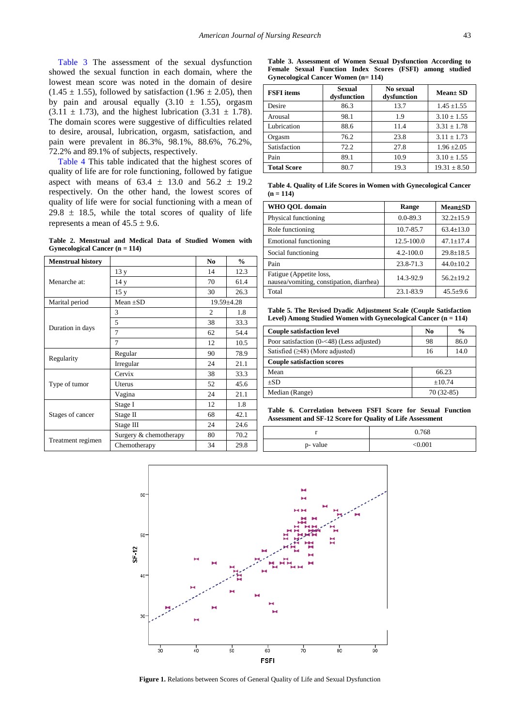[Table 3](#page-4-1) The assessment of the sexual dysfunction showed the sexual function in each domain, where the lowest mean score was noted in the domain of desire  $(1.45 \pm 1.55)$ , followed by satisfaction  $(1.96 \pm 2.05)$ , then by pain and arousal equally  $(3.10 \pm 1.55)$ , orgasm  $(3.11 \pm 1.73)$ , and the highest lubrication  $(3.31 \pm 1.78)$ . The domain scores were suggestive of difficulties related to desire, arousal, lubrication, orgasm, satisfaction, and pain were prevalent in 86.3%, 98.1%, 88.6%, 76.2%, 72.2% and 89.1% of subjects, respectively.

[Table 4](#page-4-2) This table indicated that the highest scores of quality of life are for role functioning, followed by fatigue aspect with means of  $63.4 \pm 13.0$  and  $56.2 \pm 19.2$ respectively. On the other hand, the lowest scores of quality of life were for social functioning with a mean of  $29.8 \pm 18.5$ , while the total scores of quality of life represents a mean of  $45.5 \pm 9.6$ .

**Table 2. Menstrual and Medical Data of Studied Women with Gynecological Cancer (n = 114)**

<span id="page-4-0"></span>

| <b>Menstrual history</b> |                        | N <sub>0</sub> | $\frac{0}{0}$ |
|--------------------------|------------------------|----------------|---------------|
|                          | 13y                    | 14             | 12.3          |
| Menarche at:             | 14 y                   | 70             | 61.4          |
|                          | 15y                    | 30             | 26.3          |
| Marital period           | Mean $\pm SD$          |                | 19.59±4.28    |
|                          | 3                      | $\overline{c}$ | 1.8           |
|                          | 5                      | 38             | 33.3          |
| Duration in days         | 7                      | 62             | 54.4          |
|                          | $\overline{7}$         | 12             | 10.5          |
|                          | Regular                | 90             | 78.9          |
| Regularity               | Irregular              | 24             | 21.1          |
|                          | Cervix                 | 38             | 33.3          |
| Type of tumor            | Uterus                 | 52             | 45.6          |
|                          | Vagina                 | 24             | 21.1          |
|                          | Stage I                | 12             | 1.8           |
| Stages of cancer         | Stage II               | 68             | 42.1          |
|                          | Stage III              | 24             | 24.6          |
|                          | Surgery & chemotherapy | 80             | 70.2          |
| Treatment regimen        | Chemotherapy           | 34             | 29.8          |

**Table 3. Assessment of Women Sexual Dysfunction According to Female Sexual Function Index Scores (FSFI) among studied Gynecological Cancer Women (n= 114)**

<span id="page-4-1"></span>

| <b>FSFI</b> items  | <b>Sexual</b><br>dysfunction | No sexual<br>dysfunction | <b>Mean</b> SD   |  |
|--------------------|------------------------------|--------------------------|------------------|--|
| Desire             | 86.3                         | 13.7                     | $1.45 \pm 1.55$  |  |
| Arousal            | 98.1                         | 1.9                      | $3.10 \pm 1.55$  |  |
| Lubrication        | 88.6                         | 11.4                     | $3.31 + 1.78$    |  |
| Orgasm             | 76.2                         | 23.8                     | $3.11 \pm 1.73$  |  |
| Satisfaction       | 72.2                         | 27.8                     | $1.96 \pm 2.05$  |  |
| Pain               | 89.1                         | 10.9                     | $3.10 \pm 1.55$  |  |
| <b>Total Score</b> | 80.7                         | 19.3                     | $19.31 \pm 8.50$ |  |

**Table 4. Quality of Life Scores in Women with Gynecological Cancer (n = 114)**

<span id="page-4-2"></span>

| WHO OOL domain                                                      | Range         | <b>Mean</b> ±SD |
|---------------------------------------------------------------------|---------------|-----------------|
| Physical functioning                                                | $0.0 - 89.3$  | $32.2 \pm 15.9$ |
| Role functioning                                                    | 10.7-85.7     | $63.4 \pm 13.0$ |
| <b>Emotional functioning</b>                                        | 12.5-100.0    | $47.1 + 17.4$   |
| Social functioning                                                  | $4.2 - 100.0$ | $29.8 \pm 18.5$ |
| Pain                                                                | 23.8-71.3     | $44.0 \pm 10.2$ |
| Fatigue (Appetite loss,<br>nausea/vomiting, constipation, diarrhea) | 14.3-92.9     | $56.2 \pm 19.2$ |
| Total                                                               | 23.1-83.9     | $45.5 \pm 9.6$  |

**Table 5. The Revised Dyadic Adjustment Scale (Couple Satisfaction Level) Among Studied Women with Gynecological Cancer (n = 114)**

<span id="page-4-3"></span>

| <b>Couple satisfaction level</b>            | No          | $\frac{6}{9}$ |  |
|---------------------------------------------|-------------|---------------|--|
| Poor satisfaction $(0-<48)$ (Less adjusted) | 98          | 86.0          |  |
| Satisfied $(\geq 48)$ (More adjusted)       | 16          | 14.0          |  |
| <b>Couple satisfaction scores</b>           |             |               |  |
| Mean                                        | 66.23       |               |  |
| $+SD$                                       | ±10.74      |               |  |
| Median (Range)                              | $70(32-85)$ |               |  |

**Table 6. Correlation between FSFI Score for Sexual Function Assessment and SF-12 Score for Quality of Life Assessment**

<span id="page-4-4"></span>

|          | 0.768   |
|----------|---------|
| p- value | < 0.001 |

<span id="page-4-5"></span>

**Figure 1.** Relations between Scores of General Quality of Life and Sexual Dysfunction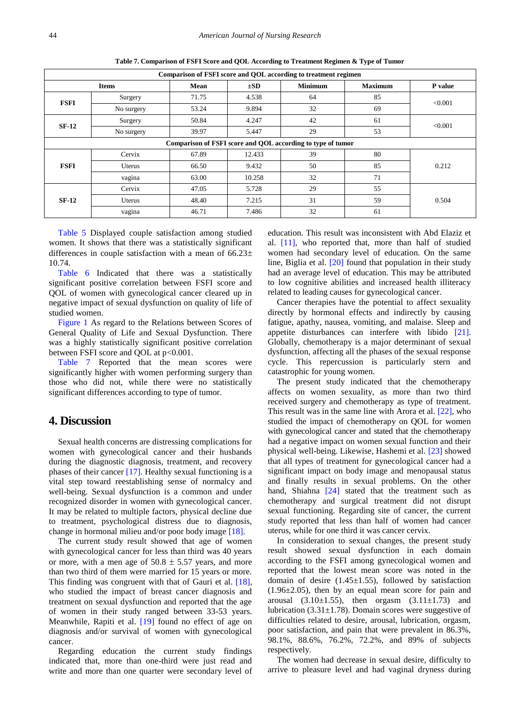<span id="page-5-0"></span>

| Comparison of FSFI score and QOL according to treatment regimen |              |       |          |                |                |         |
|-----------------------------------------------------------------|--------------|-------|----------|----------------|----------------|---------|
|                                                                 | <b>Items</b> | Mean  | $\pm SD$ | <b>Minimum</b> | <b>Maximum</b> | P value |
| <b>FSFI</b>                                                     | Surgery      | 71.75 | 4.538    | 64             | 85             | < 0.001 |
|                                                                 | No surgery   | 53.24 | 9.894    | 32             | 69             |         |
| $SF-12$                                                         | Surgery      | 50.84 | 4.247    | 42             | 61             | < 0.001 |
|                                                                 | No surgery   | 39.97 | 5.447    | 29             | 53             |         |
| Comparison of FSFI score and QOL according to type of tumor     |              |       |          |                |                |         |
| <b>FSFI</b>                                                     | Cervix       | 67.89 | 12.433   | 39             | 80             | 0.212   |
|                                                                 | Uterus       | 66.50 | 9.432    | 50             | 85             |         |
|                                                                 | vagina       | 63.00 | 10.258   | 32             | 71             |         |
| $SF-12$                                                         | Cervix       | 47.05 | 5.728    | 29             | 55             |         |
|                                                                 | Uterus       | 48.40 | 7.215    | 31             | 59             | 0.504   |
|                                                                 | vagina       | 46.71 | 7.486    | 32             | 61             |         |

**Table 7. Comparison of FSFI Score and QOL According to Treatment Regimen & Type of Tumor**

[Table 5](#page-4-3) Displayed couple satisfaction among studied women. It shows that there was a statistically significant differences in couple satisfaction with a mean of  $66.23\pm$ 10.74.

[Table 6](#page-4-4) Indicated that there was a statistically significant positive correlation between FSFI score and QOL of women with gynecological cancer cleared up in negative impact of sexual dysfunction on quality of life of studied women.

[Figure](#page-4-5) 1 As regard to the Relations between Scores of General Quality of Life and Sexual Dysfunction. There was a highly statistically significant positive correlation between FSFI score and QOL at  $p<0.001$ .

[Table 7](#page-5-0) Reported that the mean scores were significantly higher with women performing surgery than those who did not, while there were no statistically significant differences according to type of tumor.

# **4. Discussion**

Sexual health concerns are distressing complications for women with gynecological cancer and their husbands during the diagnostic diagnosis, treatment, and recovery phases of their cancer [\[17\].](#page-7-0) Healthy sexual functioning is a vital step toward reestablishing sense of normalcy and well-being. Sexual dysfunction is a common and under recognized disorder in women with gynecological cancer. It may be related to multiple factors, physical decline due to treatment, psychological distress due to diagnosis, change in hormonal milieu and/or poor body image [\[18\].](#page-7-1)

The current study result showed that age of women with gynecological cancer for less than third was 40 years or more, with a men age of  $50.8 \pm 5.57$  years, and more than two third of them were married for 15 years or more. This finding was congruent with that of Gauri et al. [\[18\],](#page-7-1) who studied the impact of breast cancer diagnosis and treatment on sexual dysfunction and reported that the age of women in their study ranged between 33-53 years. Meanwhile, Rapiti et al. [\[19\]](#page-7-2) found no effect of age on diagnosis and/or survival of women with gynecological cancer.

Regarding education the current study findings indicated that, more than one-third were just read and write and more than one quarter were secondary level of education. This result was inconsistent with Abd Elaziz et al. [\[11\],](#page-6-10) who reported that, more than half of studied women had secondary level of education. On the same line, Biglia et al. [\[20\]](#page-7-3) found that population in their study had an average level of education. This may be attributed to low cognitive abilities and increased health illiteracy related to leading causes for gynecological cancer.

Cancer therapies have the potential to affect sexuality directly by hormonal effects and indirectly by causing fatigue, apathy, nausea, vomiting, and malaise. Sleep and appetite disturbances can interfere with libido [\[21\].](#page-7-4) Globally, chemotherapy is a major determinant of sexual dysfunction, affecting all the phases of the sexual response cycle. This repercussion is particularly stern and catastrophic for young women.

The present study indicated that the chemotherapy affects on women sexuality, as more than two third received surgery and chemotherapy as type of treatment. This result was in the same line with Arora et al. [\[22\],](#page-7-5) who studied the impact of chemotherapy on QOL for women with gynecological cancer and stated that the chemotherapy had a negative impact on women sexual function and their physical well-being. Likewise, Hashemi et al. [\[23\]](#page-7-6) showed that all types of treatment for gynecological cancer had a significant impact on body image and menopausal status and finally results in sexual problems. On the other hand, Shiahna [\[24\]](#page-7-7) stated that the treatment such as chemotherapy and surgical treatment did not disrupt sexual functioning. Regarding site of cancer, the current study reported that less than half of women had cancer uterus, while for one third it was cancer cervix.

In consideration to sexual changes, the present study result showed sexual dysfunction in each domain according to the FSFI among gynecological women and reported that the lowest mean score was noted in the domain of desire  $(1.45 \pm 1.55)$ , followed by satisfaction  $(1.96\pm2.05)$ , then by an equal mean score for pain and arousal  $(3.10\pm1.55)$ , then orgasm  $(3.11\pm1.73)$  and lubrication  $(3.31 \pm 1.78)$ . Domain scores were suggestive of difficulties related to desire, arousal, lubrication, orgasm, poor satisfaction, and pain that were prevalent in 86.3%, 98.1%, 88.6%, 76.2%, 72.2%, and 89% of subjects respectively.

The women had decrease in sexual desire, difficulty to arrive to pleasure level and had vaginal dryness during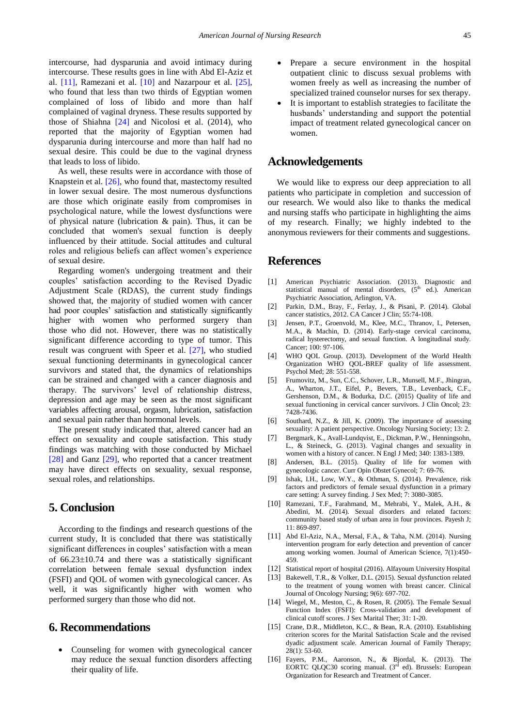intercourse, had dysparunia and avoid intimacy during intercourse. These results goes in line with Abd El-Aziz et al. [\[11\],](#page-6-10) Ramezani et al. [\[10\]](#page-6-9) and Nazarpour et al. [\[25\],](#page-7-8) who found that less than two thirds of Egyptian women complained of loss of libido and more than half complained of vaginal dryness. These results supported by those of Shiahna [\[24\]](#page-7-7) and Nicolosi et al. (2014), who reported that the majority of Egyptian women had dysparunia during intercourse and more than half had no sexual desire. This could be due to the vaginal dryness that leads to loss of libido.

As well, these results were in accordance with those of Knapstein et al. [\[26\],](#page-7-9) who found that, mastectomy resulted in lower sexual desire. The most numerous dysfunctions are those which originate easily from compromises in psychological nature, while the lowest dysfunctions were of physical nature (lubrication & pain). Thus, it can be concluded that women's sexual function is deeply influenced by their attitude. Social attitudes and cultural roles and religious beliefs can affect women's experience of sexual desire.

Regarding women's undergoing treatment and their couples' satisfaction according to the Revised Dyadic Adjustment Scale (RDAS), the current study findings showed that, the majority of studied women with cancer had poor couples' satisfaction and statistically significantly higher with women who performed surgery than those who did not. However, there was no statistically significant difference according to type of tumor. This result was congruent with Speer et al. [\[27\],](#page-7-10) who studied sexual functioning determinants in gynecological cancer survivors and stated that, the dynamics of relationships can be strained and changed with a cancer diagnosis and therapy. The survivors' level of relationship distress, depression and age may be seen as the most significant variables affecting arousal, orgasm, lubrication, satisfaction and sexual pain rather than hormonal levels.

The present study indicated that, altered cancer had an effect on sexuality and couple satisfaction. This study findings was matching with those conducted by Michael [\[28\]](#page-7-11) and Ganz [\[29\],](#page-7-12) who reported that a cancer treatment may have direct effects on sexuality, sexual response, sexual roles, and relationships.

# **5. Conclusion**

According to the findings and research questions of the current study, It is concluded that there was statistically significant differences in couples' satisfaction with a mean of  $66.23 \pm 10.74$  and there was a statistically significant correlation between female sexual dysfunction index (FSFI) and QOL of women with gynecological cancer. As well, it was significantly higher with women who performed surgery than those who did not.

## **6. Recommendations**

 Counseling for women with gynecological cancer may reduce the sexual function disorders affecting their quality of life.

- Prepare a secure environment in the hospital outpatient clinic to discuss sexual problems with women freely as well as increasing the number of specialized trained counselor nurses for sex therapy.
- It is important to establish strategies to facilitate the husbands' understanding and support the potential impact of treatment related gynecological cancer on women.

## **Acknowledgements**

We would like to express our deep appreciation to all patients who participate in completion and succession of our research. We would also like to thanks the medical and nursing staffs who participate in highlighting the aims of my research. Finally; we highly indebted to the anonymous reviewers for their comments and suggestions.

## **References**

- <span id="page-6-0"></span>[1] American Psychiatric Association. (2013). Diagnostic and statistical manual of mental disorders,  $(5<sup>th</sup>$  ed.). American Psychiatric Association, Arlington, VA.
- <span id="page-6-1"></span>[2] Parkin, D.M., Bray, F., Ferlay, J., & Pisani, P. (2014). Global cancer statistics, 2012. CA Cancer J Clin; 55:74-108.
- <span id="page-6-2"></span>[3] Jensen, P.T., Groenvold, M., Klee, M.C., Thranov, I., Petersen, M.A., & Machin, D. (2014). Early-stage cervical carcinoma, radical hysterectomy, and sexual function. A longitudinal study. Cancer; 100: 97-106.
- <span id="page-6-3"></span>[4] WHO QOL Group. (2013). Development of the World Health Organization WHO QOL-BREF quality of life assessment. Psychol Med; 28: 551-558.
- <span id="page-6-4"></span>[5] Frumovitz, M., Sun, C.C., Schover, L.R., Munsell, M.F., Jhingran, A., Wharton, J.T., Eifel, P., Bevers, T.B., Levenback, C.F., Gershenson, D.M., & Bodurka, D.C. (2015) Quality of life and sexual functioning in cervical cancer survivors. J Clin Oncol; 23: 7428-7436.
- <span id="page-6-5"></span>[6] Southard, N.Z., & Jill, K. (2009). The importance of assessing sexuality: A patient perspective. Oncology Nursing Society; 13: 2.
- <span id="page-6-6"></span>[7] Bergmark, K., Avall-Lundqvist, E., Dickman, P.W., Henningsohn, L., & Steineck, G. (2013). Vaginal changes and sexuality in women with a history of cancer. N Engl J Med; 340: 1383-1389.
- <span id="page-6-7"></span>[8] Andersen, B.L. (2015). Quality of life for women with gynecologic cancer. Curr Opin Obstet Gynecol; 7: 69-76.
- <span id="page-6-8"></span>[9] Ishak, I.H., Low, W.Y., & Othman, S. (2014). Prevalence, risk factors and predictors of female sexual dysfunction in a primary care setting: A survey finding. J Sex Med; 7: 3080-3085.
- <span id="page-6-9"></span>[10] Ramezani, T.F., Farahmand, M., Mehrabi, Y., Malek, A.H., & Abedini, M. (2014). Sexual disorders and related factors: community based study of urban area in four provinces. Payesh J; 11: 869-897.
- <span id="page-6-10"></span>[11] Abd El-Aziz, N.A., Mersal, F.A., & Taha, N.M. (2014). Nursing intervention program for early detection and prevention of cancer among working women. Journal of American Science, 7(1):450- 459.
- <span id="page-6-11"></span>[12] Statistical report of hospital (2016). Alfayoum University Hospital
- <span id="page-6-12"></span>[13] Bakewell, T.R., & Volker, D.L. (2015). Sexual dysfunction related to the treatment of young women with breast cancer. Clinical Journal of Oncology Nursing; 9(6): 697-702.
- <span id="page-6-13"></span>[14] Wiegel, M., Meston, C., & Rosen, R. (2005). The Female Sexual Function Index (FSFI): Cross-validation and development of clinical cutoff scores. J Sex Marital Ther; 31: 1-20.
- <span id="page-6-14"></span>[15] Crane, D.R., Middleton, K.C., & Bean, R.A. (2010). Establishing criterion scores for the Marital Satisfaction Scale and the revised dyadic adjustment scale. American Journal of Family Therapy; 28(1): 53-60.
- <span id="page-6-15"></span>[16] Fayers, P.M., Aaronson, N., & Biordal, K. (2013). The EORTC QLQC30 scoring manual. (3<sup>rd</sup> ed). Brussels: European Organization for Research and Treatment of Cancer.